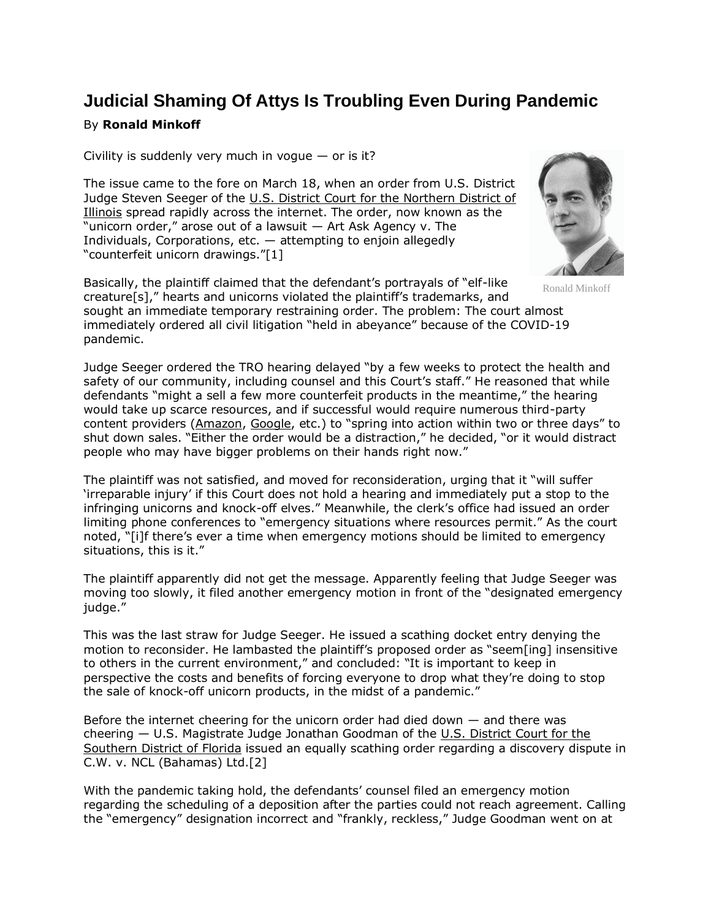## **Judicial Shaming Of Attys Is Troubling Even During Pandemic**

## By **Ronald Minkoff**

Civility is suddenly very much in vogue  $-$  or is it?

The issue came to the fore on March 18, when an order from U.S. District Judge Steven Seeger of the U.S. District Court for the Northern District of [Illinois](https://www.law360.com/agencies/u-s-district-court-for-the-northern-district-of-illinois) spread rapidly across the internet. The order, now known as the "unicorn order," arose out of a lawsuit — Art Ask Agency v. The Individuals, Corporations, etc.  $-$  attempting to enjoin allegedly "counterfeit unicorn drawings."[1]



Ronald Minkoff

Basically, the plaintiff claimed that the defendant's portrayals of "elf-like creature[s]," hearts and unicorns violated the plaintiff's trademarks, and sought an immediate temporary restraining order. The problem: The court almost immediately ordered all civil litigation "held in abeyance" because of the COVID-19 pandemic.

Judge Seeger ordered the TRO hearing delayed "by a few weeks to protect the health and safety of our community, including counsel and this Court's staff." He reasoned that while defendants "might a sell a few more counterfeit products in the meantime," the hearing would take up scarce resources, and if successful would require numerous third-party content providers [\(Amazon,](https://www.law360.com/companies/amazon-com-inc) [Google](https://www.law360.com/companies/google-inc), etc.) to "spring into action within two or three days" to shut down sales. "Either the order would be a distraction," he decided, "or it would distract people who may have bigger problems on their hands right now."

The plaintiff was not satisfied, and moved for reconsideration, urging that it "will suffer 'irreparable injury' if this Court does not hold a hearing and immediately put a stop to the infringing unicorns and knock-off elves." Meanwhile, the clerk's office had issued an order limiting phone conferences to "emergency situations where resources permit." As the court noted, "[i]f there's ever a time when emergency motions should be limited to emergency situations, this is it."

The plaintiff apparently did not get the message. Apparently feeling that Judge Seeger was moving too slowly, it filed another emergency motion in front of the "designated emergency judge."

This was the last straw for Judge Seeger. He issued a scathing docket entry denying the motion to reconsider. He lambasted the plaintiff's proposed order as "seem[ing] insensitive to others in the current environment," and concluded: "It is important to keep in perspective the costs and benefits of forcing everyone to drop what they're doing to stop the sale of knock-off unicorn products, in the midst of a pandemic."

Before the internet cheering for the unicorn order had died down  $-$  and there was cheering — U.S. Magistrate Judge Jonathan Goodman of the [U.S. District Court for the](https://www.law360.com/agencies/u-s-district-court-for-the-southern-district-of-florida)  [Southern District of Florida](https://www.law360.com/agencies/u-s-district-court-for-the-southern-district-of-florida) issued an equally scathing order regarding a discovery dispute in C.W. v. NCL (Bahamas) Ltd.[2]

With the pandemic taking hold, the defendants' counsel filed an emergency motion regarding the scheduling of a deposition after the parties could not reach agreement. Calling the "emergency" designation incorrect and "frankly, reckless," Judge Goodman went on at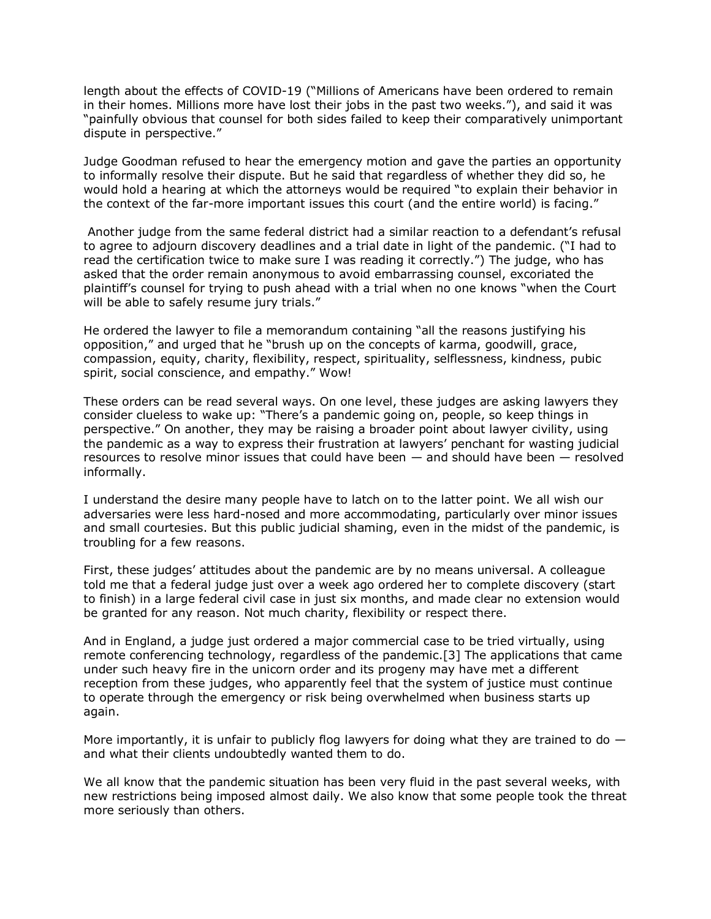length about the effects of COVID-19 ("Millions of Americans have been ordered to remain in their homes. Millions more have lost their jobs in the past two weeks."), and said it was "painfully obvious that counsel for both sides failed to keep their comparatively unimportant dispute in perspective."

Judge Goodman refused to hear the emergency motion and gave the parties an opportunity to informally resolve their dispute. But he said that regardless of whether they did so, he would hold a hearing at which the attorneys would be required "to explain their behavior in the context of the far-more important issues this court (and the entire world) is facing."

Another judge from the same federal district had a similar reaction to a defendant's refusal to agree to adjourn discovery deadlines and a trial date in light of the pandemic. ("I had to read the certification twice to make sure I was reading it correctly.") The judge, who has asked that the order remain anonymous to avoid embarrassing counsel, excoriated the plaintiff's counsel for trying to push ahead with a trial when no one knows "when the Court will be able to safely resume jury trials."

He ordered the lawyer to file a memorandum containing "all the reasons justifying his opposition," and urged that he "brush up on the concepts of karma, goodwill, grace, compassion, equity, charity, flexibility, respect, spirituality, selflessness, kindness, pubic spirit, social conscience, and empathy." Wow!

These orders can be read several ways. On one level, these judges are asking lawyers they consider clueless to wake up: "There's a pandemic going on, people, so keep things in perspective." On another, they may be raising a broader point about lawyer civility, using the pandemic as a way to express their frustration at lawyers' penchant for wasting judicial resources to resolve minor issues that could have been — and should have been — resolved informally.

I understand the desire many people have to latch on to the latter point. We all wish our adversaries were less hard-nosed and more accommodating, particularly over minor issues and small courtesies. But this public judicial shaming, even in the midst of the pandemic, is troubling for a few reasons.

First, these judges' attitudes about the pandemic are by no means universal. A colleague told me that a federal judge just over a week ago ordered her to complete discovery (start to finish) in a large federal civil case in just six months, and made clear no extension would be granted for any reason. Not much charity, flexibility or respect there.

And in England, a judge just ordered a major commercial case to be tried virtually, using remote conferencing technology, regardless of the pandemic.[3] The applications that came under such heavy fire in the unicorn order and its progeny may have met a different reception from these judges, who apparently feel that the system of justice must continue to operate through the emergency or risk being overwhelmed when business starts up again.

More importantly, it is unfair to publicly flog lawyers for doing what they are trained to do  $$ and what their clients undoubtedly wanted them to do.

We all know that the pandemic situation has been very fluid in the past several weeks, with new restrictions being imposed almost daily. We also know that some people took the threat more seriously than others.